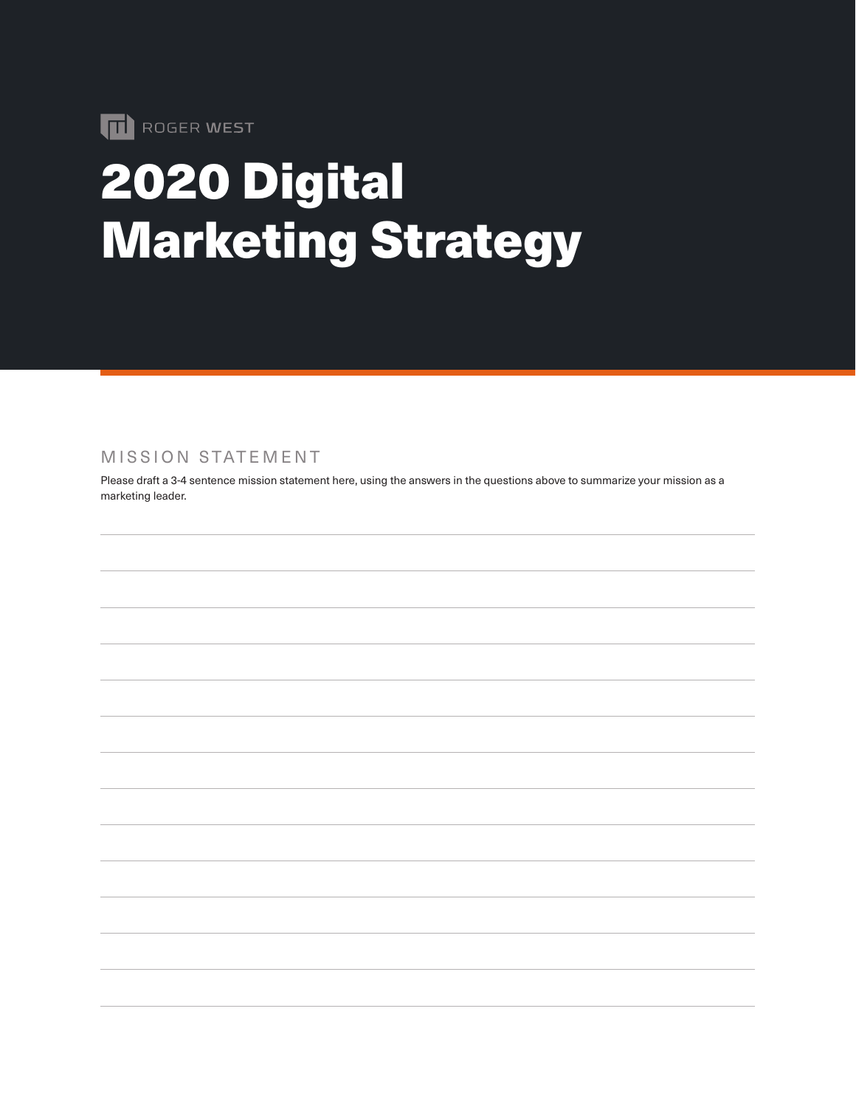

# 2020 Digital Marketing Strategy

MISSION STATEMENT

Please draft a 3-4 sentence mission statement here, using the answers in the questions above to summarize your mission as a marketing leader.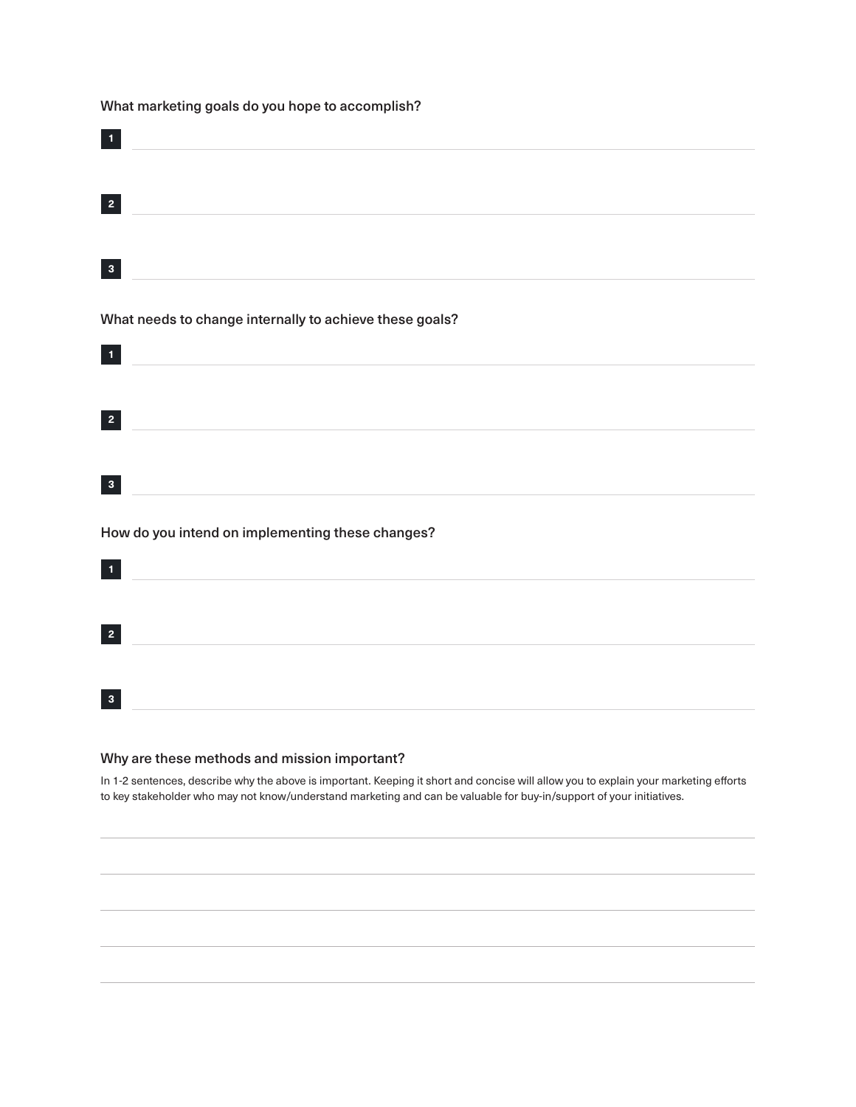What marketing goals do you hope to accomplish?

| $\mathbf{I}$                                                  |
|---------------------------------------------------------------|
| $\mathbf{2}$                                                  |
| $\mathbf{3}$                                                  |
| What needs to change internally to achieve these goals?       |
| $\mathbf{1}$                                                  |
| $\overline{2}$                                                |
| $\mathbf{3}$                                                  |
| How do you intend on implementing these changes?<br>$\bar{1}$ |
| $\mathbf{2}$                                                  |
| $\mathbf{3}$                                                  |
|                                                               |

#### Why are these methods and mission important?

In 1-2 sentences, describe why the above is important. Keeping it short and concise will allow you to explain your marketing efforts to key stakeholder who may not know/understand marketing and can be valuable for buy-in/support of your initiatives.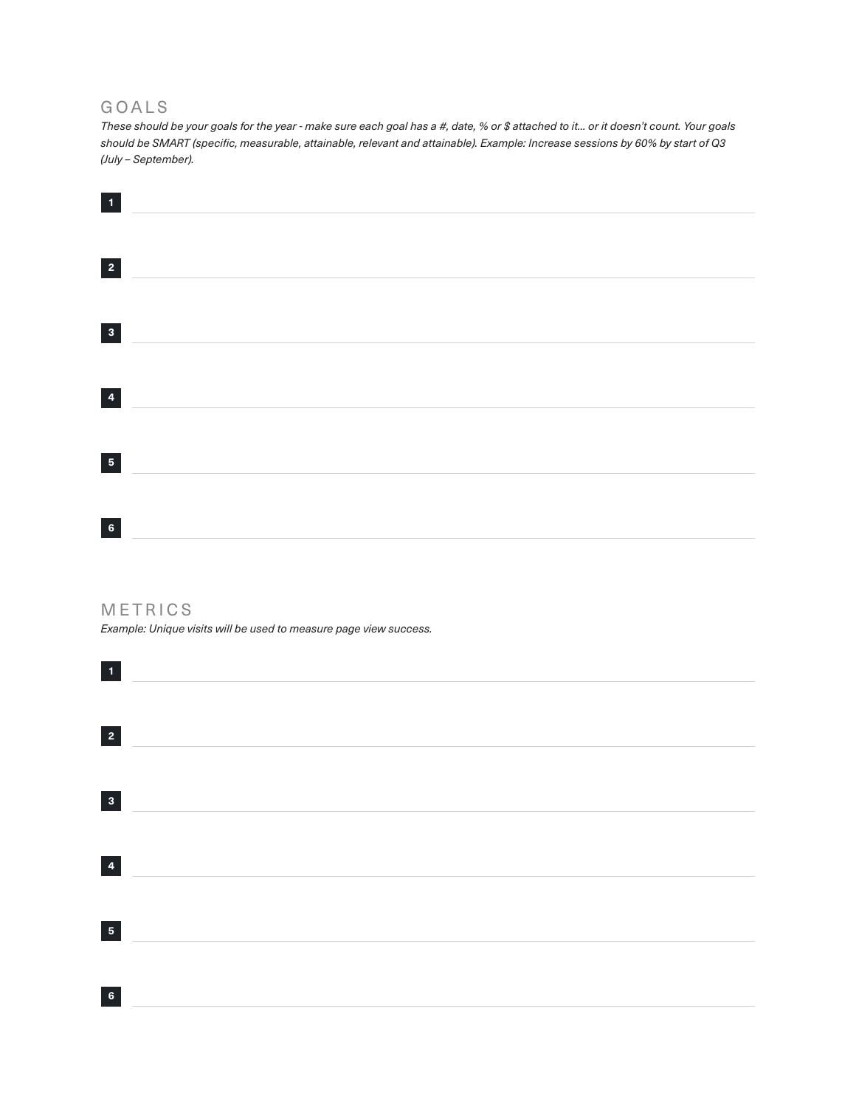#### GOALS

*These should be your goals for the year - make sure each goal has a #, date, % or \$ attached to it... or it doesn't count. Your goals should be SMART (specific, measurable, attainable, relevant and attainable). Example: Increase sessions by 60% by start of Q3 (July – September).*

| $\vert 1 \vert$ |  |  |  |
|-----------------|--|--|--|
|                 |  |  |  |
|                 |  |  |  |
|                 |  |  |  |
| $\vert 3 \vert$ |  |  |  |
|                 |  |  |  |
| $\vert 4 \vert$ |  |  |  |
|                 |  |  |  |
| $\overline{5}$  |  |  |  |
|                 |  |  |  |
| $\bf 6$         |  |  |  |

#### METRICS

*Example: Unique visits will be used to measure page view success.*

| $\mathbf{1}$            |  |  |
|-------------------------|--|--|
| $\vert$ 2               |  |  |
|                         |  |  |
| $\vert 3 \vert$         |  |  |
|                         |  |  |
| $\overline{\mathbf{4}}$ |  |  |
| $\overline{\mathbf{5}}$ |  |  |
|                         |  |  |
| $\bf 6$                 |  |  |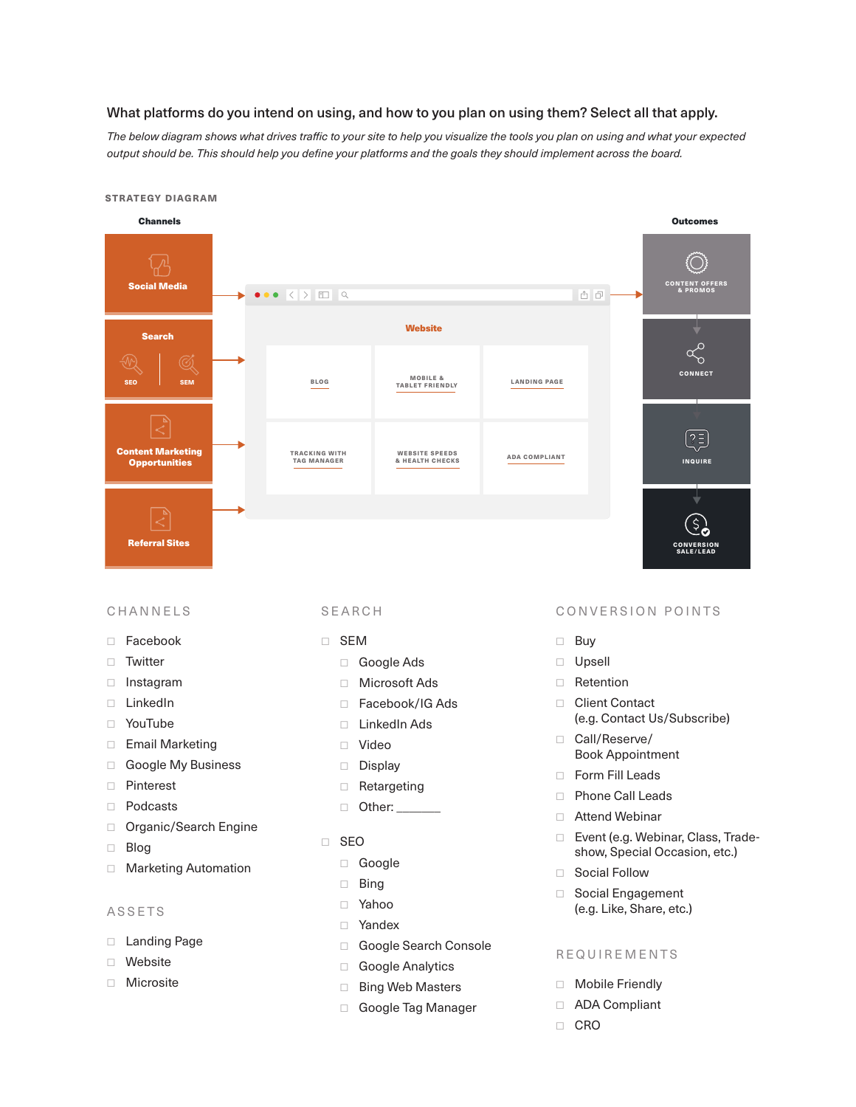#### What platforms do you intend on using, and how to you plan on using them? Select all that apply.

*The below diagram shows what drives traffic to your site to help you visualize the tools you plan on using and what your expected output should be. This should help you define your platforms and the goals they should implement across the board.*

#### Channels Outcomes Social Media CONTENT OFFERS & PROMOS  $\bullet \bullet \bullet \times \bullet \quad \Box$ 西日 **Website** Search CONNECT SEO SEM BLOG MOBILE & TABLET FRIENDLY LANDING PAGE Content Marketing TRACKING WITH TAG MANAGER WEBSITE SPEEDS & HEALTH CHECKS ADA COMPLIANT INQUIRE **Opportunities** So Referral Sites CONVERSION SALE/LEAD

## ☐ Facebook

□ Email Marketing ☐ Google My Business

□ Organic/Search Engine

□ Marketing Automation

☐ Pinterest ☐ Podcasts

□ Twitter □ Instagram ☐ LinkedIn ☐ YouTube

ASSETS

□ Landing Page ☐ Website

☐ Blog

- ☐ SEM
	- □ Google Ads
	- ☐ Microsoft Ads
	- ☐ Facebook/IG Ads
	- ☐ LinkedIn Ads
	- ☐ Video
	- ☐ Display
	- □ Retargeting
	- □ Other:
- ☐ SEO
	- ☐ Google
	- ☐ Bing
	- ☐ Yahoo
	- ☐ Yandex
	- □ Google Search Console
	- □ Google Analytics
- □ Bing Web Masters □ Microsite □ Contracted District The Sing Web Masters □ Mobile Friendly
	- □ Google Tag Manager

#### CHANNELS SEARCH CONVERSION POINTS

- ☐ Buy
- ☐ Upsell
- ☐ Retention
- ☐ Client Contact (e.g. Contact Us/Subscribe)
- □ Call/Reserve/ Book Appointment
- □ Form Fill Leads
- ☐ Phone Call Leads
- ☐ Attend Webinar
- ☐ Event (e.g. Webinar, Class, Tradeshow, Special Occasion, etc.)
- □ Social Follow
- □ Social Engagement (e.g. Like, Share, etc.)

#### REQUIREMENTS

- 
- □ ADA Compliant
- ☐ CRO

#### STRATEGY DIAGRAM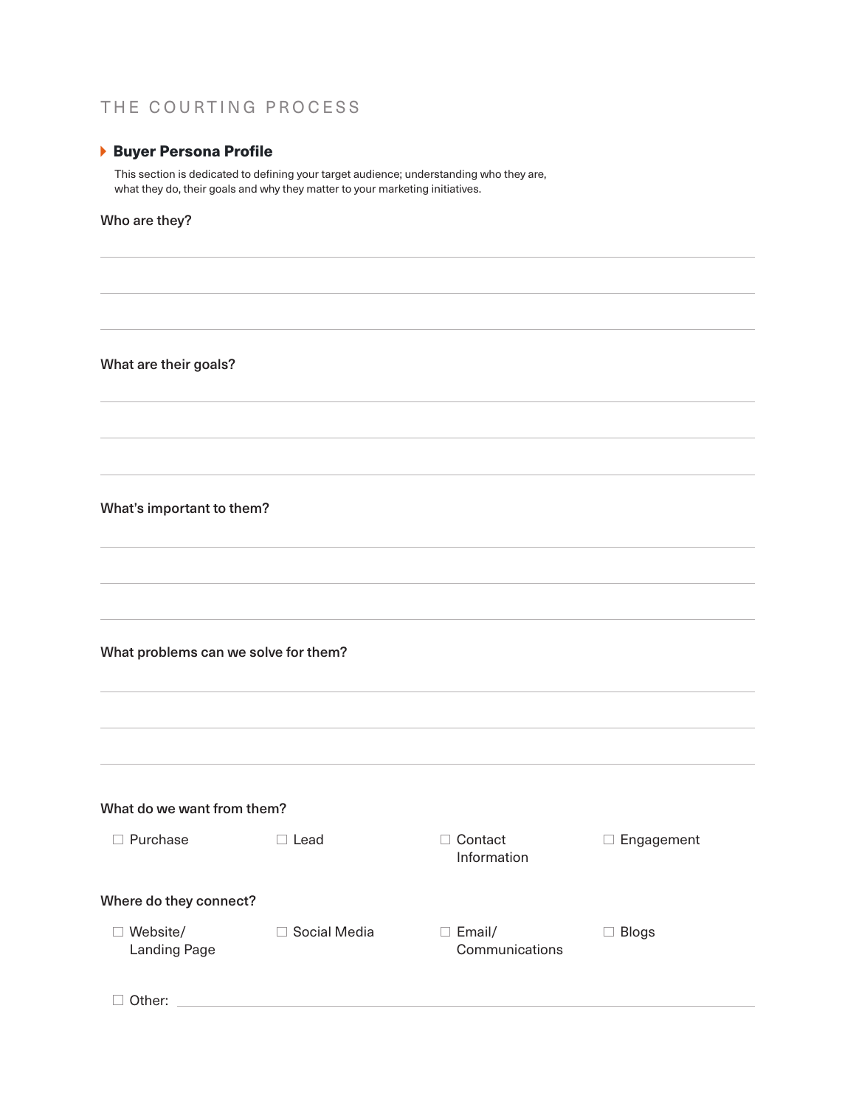### THE COURTING PROCESS

#### Buyer Persona Profile

This section is dedicated to defining your target audience; understanding who they are, what they do, their goals and why they matter to your marketing initiatives.

#### Who are they?

What are their goals?

#### What's important to them?

What problems can we solve for them?

| What do we want from them?      |              |                                          |                            |
|---------------------------------|--------------|------------------------------------------|----------------------------|
| Purchase                        | Lead         | Contact<br>Information                   | Engagement<br>$\mathbf{I}$ |
| Where do they connect?          |              |                                          |                            |
| Website/<br><b>Landing Page</b> | Social Media | Email/<br>$\mathbf{L}$<br>Communications | <b>Blogs</b>               |
| Other:                          |              |                                          |                            |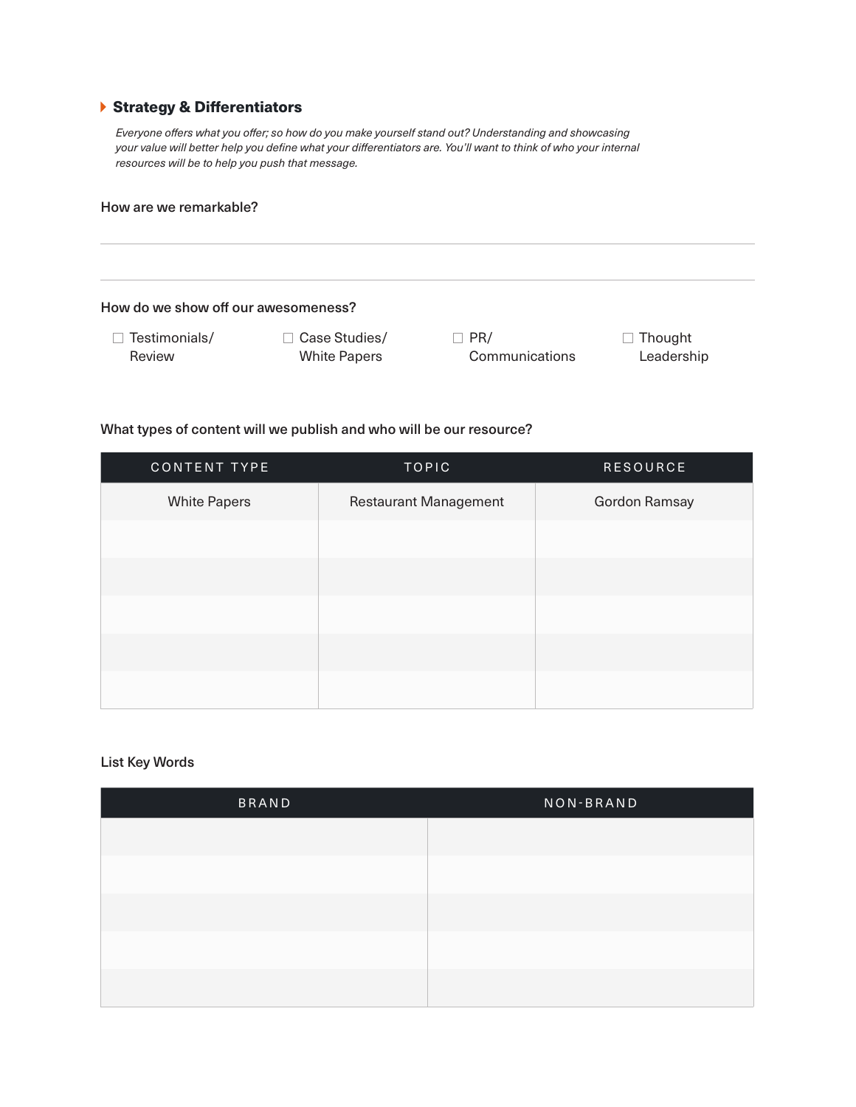#### Strategy & Differentiators

*Everyone offers what you offer; so how do you make yourself stand out? Understanding and showcasing your value will better help you define what your differentiators are. You'll want to think of who your internal resources will be to help you push that message.* 

#### How are we remarkable?

| How do we show off our awesomeness? |                                           |                |                |
|-------------------------------------|-------------------------------------------|----------------|----------------|
| Testimonials/                       | Case Studies/<br>$\overline{\phantom{a}}$ | PR/            | $\Box$ Thought |
| Review                              | <b>White Papers</b>                       | Communications | Leadership     |

#### What types of content will we publish and who will be our resource?

| CONTENT TYPE        | <b>TOPIC</b>                 | <b>RESOURCE</b> |
|---------------------|------------------------------|-----------------|
| <b>White Papers</b> | <b>Restaurant Management</b> | Gordon Ramsay   |
|                     |                              |                 |
|                     |                              |                 |
|                     |                              |                 |
|                     |                              |                 |
|                     |                              |                 |

#### List Key Words

| BRAND | NON-BRAND |
|-------|-----------|
|       |           |
|       |           |
|       |           |
|       |           |
|       |           |
|       |           |